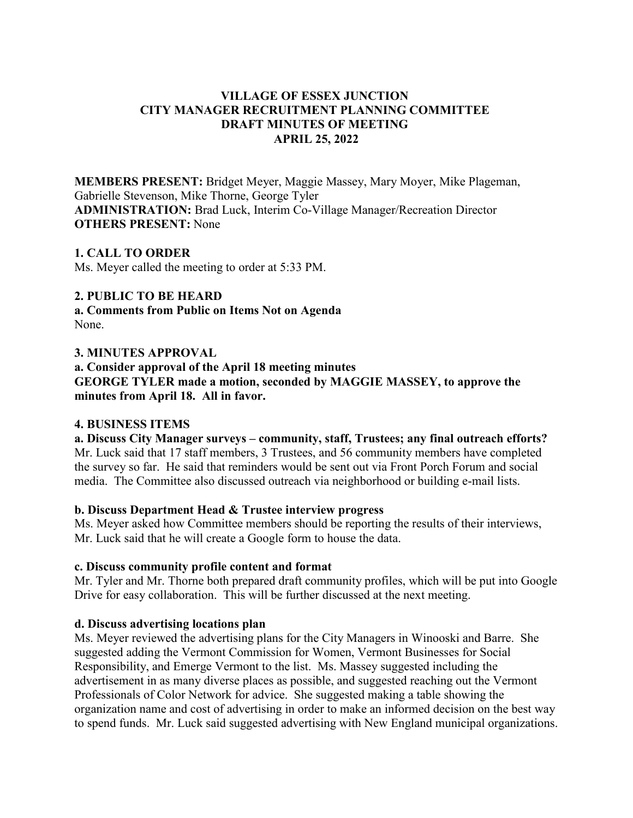# **VILLAGE OF ESSEX JUNCTION CITY MANAGER RECRUITMENT PLANNING COMMITTEE DRAFT MINUTES OF MEETING APRIL 25, 2022**

**MEMBERS PRESENT:** Bridget Meyer, Maggie Massey, Mary Moyer, Mike Plageman, Gabrielle Stevenson, Mike Thorne, George Tyler **ADMINISTRATION:** Brad Luck, Interim Co-Village Manager/Recreation Director **OTHERS PRESENT:** None

## **1. CALL TO ORDER**

Ms. Meyer called the meeting to order at 5:33 PM.

## **2. PUBLIC TO BE HEARD**

**a. Comments from Public on Items Not on Agenda**  None.

## **3. MINUTES APPROVAL**

**a. Consider approval of the April 18 meeting minutes GEORGE TYLER made a motion, seconded by MAGGIE MASSEY, to approve the minutes from April 18. All in favor.**

## **4. BUSINESS ITEMS**

**a. Discuss City Manager surveys – community, staff, Trustees; any final outreach efforts?** Mr. Luck said that 17 staff members, 3 Trustees, and 56 community members have completed the survey so far. He said that reminders would be sent out via Front Porch Forum and social media. The Committee also discussed outreach via neighborhood or building e-mail lists.

## **b. Discuss Department Head & Trustee interview progress**

Ms. Meyer asked how Committee members should be reporting the results of their interviews, Mr. Luck said that he will create a Google form to house the data.

## **c. Discuss community profile content and format**

Mr. Tyler and Mr. Thorne both prepared draft community profiles, which will be put into Google Drive for easy collaboration. This will be further discussed at the next meeting.

## **d. Discuss advertising locations plan**

Ms. Meyer reviewed the advertising plans for the City Managers in Winooski and Barre. She suggested adding the Vermont Commission for Women, Vermont Businesses for Social Responsibility, and Emerge Vermont to the list. Ms. Massey suggested including the advertisement in as many diverse places as possible, and suggested reaching out the Vermont Professionals of Color Network for advice. She suggested making a table showing the organization name and cost of advertising in order to make an informed decision on the best way to spend funds. Mr. Luck said suggested advertising with New England municipal organizations.